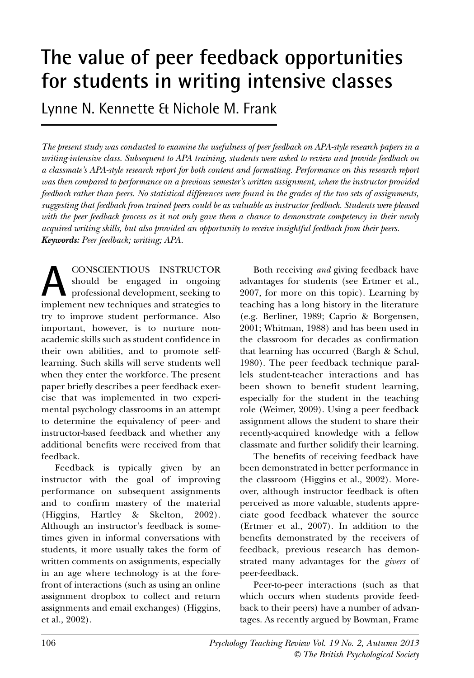# **The value of peer feedback opportunities for students in writing intensive classes**

Lynne N. Kennette & Nichole M. Frank

The present study was conducted to examine the usefulness of peer feedback on APA-style research papers in a *writing-intensive class. Subsequent to APA training, students were asked to review and provide feedback on a classmate's APA-style research report for both content and formatting. Performance on this research report was then compared to performance on a previous semester's written assignment, where the instructor provided* feedback rather than peers. No statistical differences were found in the grades of the two sets of assignments, *suggesting that feedback from trained peers could be as valuable as instructor feedback. Students were pleased* with the peer feedback process as it not only gave them a chance to demonstrate competency in their newly *acquired writing skills, but also provided an opportunity to receive insightful feedback from their peers. Keywords: Peer feedback; writing; APA.*

CONSCIENTIOUS INSTRUCTOR should be engaged in ongoing professional development, seeking to **A** should be engaged in ongoing<br>professional development, seeking to<br>implement new techniques and strategies to try to improve student performance. Also important, however, is to nurture nonacademic skills such as student confidence in their own abilities, and to promote selflearning. Such skills will serve students well when they enter the workforce. The present paper briefly describes a peer feedback exercise that was implemented in two experimental psychology classrooms in an attempt to determine the equivalency of peer- and instructor-based feedback and whether any additional benefits were received from that feedback.

Feedback is typically given by an instructor with the goal of improving performance on subsequent assignments and to confirm mastery of the material (Higgins, Hartley & Skelton, 2002). Although an instructor's feedback is sometimes given in informal conversations with students, it more usually takes the form of written comments on assignments, especially in an age where technology is at the forefront of interactions (such as using an online assignment dropbox to collect and return assignments and email exchanges) (Higgins, et al., 2002).

Both receiving *and* giving feedback have advantages for students (see Ertmer et al., 2007, for more on this topic). Learning by teaching has a long history in the literature (e.g. Berliner, 1989; Caprio & Borgensen, 2001; Whitman, 1988) and has been used in the classroom for decades as confirmation that learning has occurred (Bargh & Schul, 1980). The peer feedback technique parallels student-teacher interactions and has been shown to benefit student learning, especially for the student in the teaching role (Weimer, 2009). Using a peer feedback assignment allows the student to share their recently-acquired knowledge with a fellow classmate and further solidify their learning.

The benefits of receiving feedback have been demonstrated in better performance in the classroom (Higgins et al., 2002). Moreover, although instructor feedback is often perceived as more valuable, students appreciate good feedback whatever the source (Ertmer et al., 2007). In addition to the benefits demonstrated by the receivers of feedback, previous research has demonstrated many advantages for the *givers* of peer-feedback.

Peer-to-peer interactions (such as that which occurs when students provide feedback to their peers) have a number of advantages. As recently argued by Bowman, Frame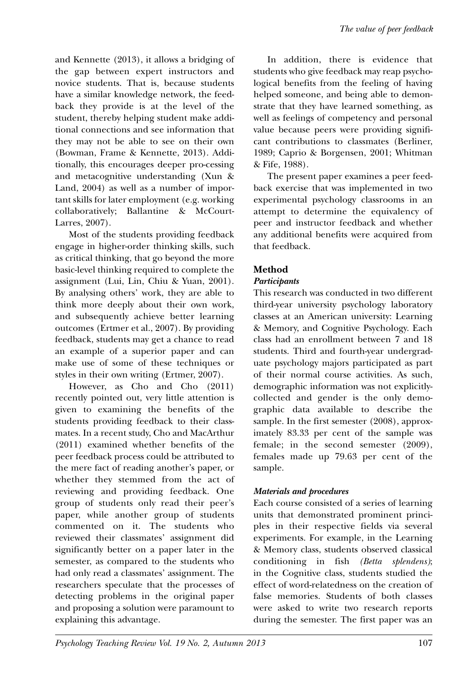and Kennette (2013), it allows a bridging of the gap between expert instructors and novice students. That is, because students have a similar knowledge network, the feedback they provide is at the level of the student, thereby helping student make additional connections and see information that they may not be able to see on their own (Bowman, Frame & Kennette, 2013). Additionally, this encourages deeper pro-cessing and metacognitive understanding (Xun & Land, 2004) as well as a number of important skills for later employment (e.g. working collaboratively; Ballantine & McCourt-Larres, 2007).

Most of the students providing feedback engage in higher-order thinking skills, such as critical thinking, that go beyond the more basic-level thinking required to complete the assignment (Lui, Lin, Chiu & Yuan, 2001). By analysing others' work, they are able to think more deeply about their own work, and subsequently achieve better learning outcomes (Ertmer et al., 2007). By providing feedback, students may get a chance to read an example of a superior paper and can make use of some of these techniques or styles in their own writing (Ertmer, 2007).

However, as Cho and Cho (2011) recently pointed out, very little attention is given to examining the benefits of the students providing feedback to their classmates. In a recent study, Cho and MacArthur (2011) examined whether benefits of the peer feedback process could be attributed to the mere fact of reading another's paper, or whether they stemmed from the act of reviewing and providing feedback. One group of students only read their peer's paper, while another group of students commented on it. The students who reviewed their classmates' assignment did significantly better on a paper later in the semester, as compared to the students who had only read a classmates' assignment. The researchers speculate that the processes of detecting problems in the original paper and proposing a solution were paramount to explaining this advantage.

In addition, there is evidence that students who give feedback may reap psychological benefits from the feeling of having helped someone, and being able to demonstrate that they have learned something, as well as feelings of competency and personal value because peers were providing significant contributions to classmates (Berliner, 1989; Caprio & Borgensen, 2001; Whitman & Fife, 1988).

The present paper examines a peer feedback exercise that was implemented in two experimental psychology classrooms in an attempt to determine the equivalency of peer and instructor feedback and whether any additional benefits were acquired from that feedback.

## **Method**

## *Participants*

This research was conducted in two different third-year university psychology laboratory classes at an American university: Learning & Memory, and Cognitive Psychology. Each class had an enrollment between 7 and 18 students. Third and fourth-year undergraduate psychology majors participated as part of their normal course activities. As such, demographic information was not explicitlycollected and gender is the only demographic data available to describe the sample. In the first semester (2008), approximately 83.33 per cent of the sample was female; in the second semester (2009), females made up 79.63 per cent of the sample.

## *Materials and procedures*

Each course consisted of a series of learning units that demonstrated prominent principles in their respective fields via several experiments. For example, in the Learning & Memory class, students observed classical conditioning in fish *(Betta splendens)*; in the Cognitive class, students studied the effect of word-relatedness on the creation of false memories. Students of both classes were asked to write two research reports during the semester. The first paper was an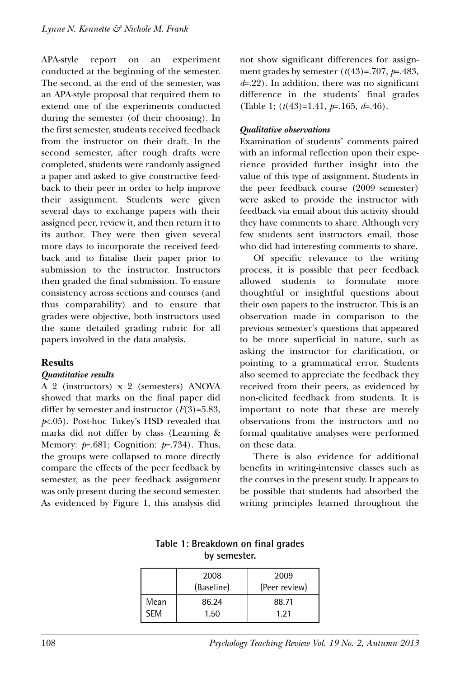APA-style report on an experiment conducted at the beginning of the semester. The second, at the end of the semester, was an APA-style proposal that required them to extend one of the experiments conducted during the semester (of their choosing). In the first semester, students received feedback from the instructor on their draft. In the second semester, after rough drafts were completed, students were randomly assigned a paper and asked to give constructive feedback to their peer in order to help improve their assignment. Students were given several days to exchange papers with their assigned peer, review it, and then return it to its author. They were then given several more days to incorporate the received feedback and to finalise their paper prior to submission to the instructor. Instructors then graded the final submission. To ensure consistency across sections and courses (and thus comparability) and to ensure that grades were objective, both instructors used the same detailed grading rubric for all papers involved in the data analysis.

#### **Results**

#### *Quantitative results*

A 2 (instructors) x 2 (semesters) ANOVA showed that marks on the final paper did differ by semester and instructor (*F*(3)=5.83, *p*<.05). Post-hoc Tukey's HSD revealed that marks did not differ by class (Learning & Memory: *p*=.681; Cognition: *p*=.734). Thus, the groups were collapsed to more directly compare the effects of the peer feedback by semester, as the peer feedback assignment was only present during the second semester. As evidenced by Figure 1, this analysis did not show significant differences for assignment grades by semester (*t*(43)=.707, *p*=.483, *d*=.22). In addition, there was no significant difference in the students' final grades (Table 1; (*t*(43)=1.41, *p*=.165, *d*=.46).

#### *Qualitative observations*

Examination of students' comments paired with an informal reflection upon their experience provided further insight into the value of this type of assignment. Students in the peer feedback course (2009 semester) were asked to provide the instructor with feedback via email about this activity should they have comments to share. Although very few students sent instructors email, those who did had interesting comments to share.

Of specific relevance to the writing process, it is possible that peer feedback allowed students to formulate more thoughtful or insightful questions about their own papers to the instructor. This is an observation made in comparison to the previous semester's questions that appeared to be more superficial in nature, such as asking the instructor for clarification, or pointing to a grammatical error. Students also seemed to appreciate the feedback they received from their peers, as evidenced by non-elicited feedback from students. It is important to note that these are merely observations from the instructors and no formal qualitative analyses were performed on these data.

There is also evidence for additional benefits in writing-intensive classes such as the courses in the present study. It appears to be possible that students had absorbed the writing principles learned throughout the

| UY SUMUSULI. |                    |                       |
|--------------|--------------------|-----------------------|
|              | 2008<br>(Baseline) | 2009<br>(Peer review) |
| Mean         | 86.24              | 88.71                 |
| <b>SFM</b>   | 1.50               | 1.21                  |

**Table 1: Breakdown on final grades by semester.**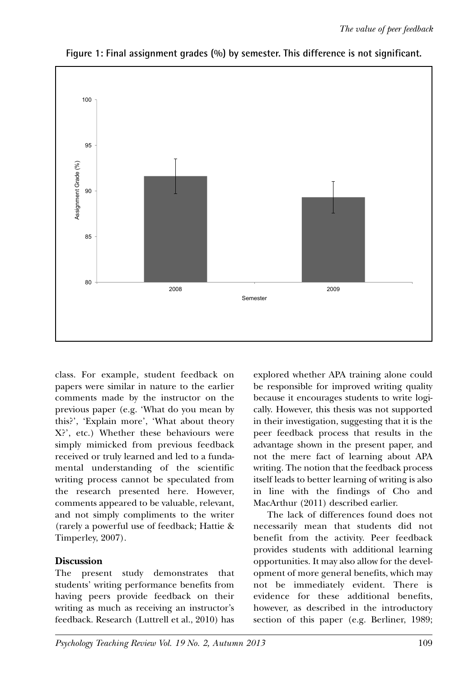

**Figure 1: Final assignment grades (%) by semester. This difference is not significant.**

class. For example, student feedback on papers were similar in nature to the earlier comments made by the instructor on the previous paper (e.g. 'What do you mean by this?', 'Explain more', 'What about theory X?', etc.) Whether these behaviours were simply mimicked from previous feedback received or truly learned and led to a fundamental understanding of the scientific writing process cannot be speculated from the research presented here. However, comments appeared to be valuable, relevant, and not simply compliments to the writer (rarely a powerful use of feedback; Hattie & Timperley, 2007).

## **Discussion**

The present study demonstrates that students' writing performance benefits from having peers provide feedback on their writing as much as receiving an instructor's feedback. Research (Luttrell et al., 2010) has

explored whether APA training alone could be responsible for improved writing quality because it encourages students to write logically. However, this thesis was not supported in their investigation, suggesting that it is the peer feedback process that results in the advantage shown in the present paper, and not the mere fact of learning about APA writing. The notion that the feedback process itself leads to better learning of writing is also in line with the findings of Cho and MacArthur (2011) described earlier.

The lack of differences found does not necessarily mean that students did not benefit from the activity. Peer feedback provides students with additional learning opportunities. It may also allow for the development of more general benefits, which may not be immediately evident. There is evidence for these additional benefits, however, as described in the introductory section of this paper (e.g. Berliner, 1989;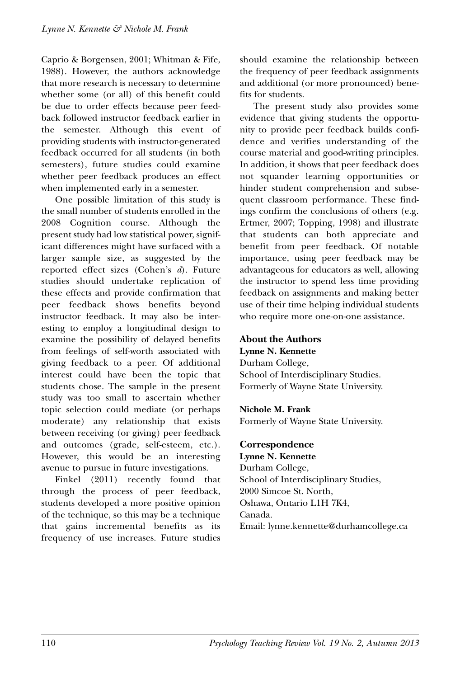Caprio & Borgensen, 2001; Whitman & Fife, 1988). However, the authors acknowledge that more research is necessary to determine whether some (or all) of this benefit could be due to order effects because peer feedback followed instructor feedback earlier in the semester. Although this event of providing students with instructor-generated feedback occurred for all students (in both semesters), future studies could examine whether peer feedback produces an effect when implemented early in a semester.

One possible limitation of this study is the small number of students enrolled in the 2008 Cognition course. Although the present study had low statistical power, significant differences might have surfaced with a larger sample size, as suggested by the reported effect sizes (Cohen's *d*). Future studies should undertake replication of these effects and provide confirmation that peer feedback shows benefits beyond instructor feedback. It may also be interesting to employ a longitudinal design to examine the possibility of delayed benefits from feelings of self-worth associated with giving feedback to a peer. Of additional interest could have been the topic that students chose. The sample in the present study was too small to ascertain whether topic selection could mediate (or perhaps moderate) any relationship that exists between receiving (or giving) peer feedback and outcomes (grade, self-esteem, etc.). However, this would be an interesting avenue to pursue in future investigations.

Finkel (2011) recently found that through the process of peer feedback, students developed a more positive opinion of the technique, so this may be a technique that gains incremental benefits as its frequency of use increases. Future studies should examine the relationship between the frequency of peer feedback assignments and additional (or more pronounced) benefits for students.

The present study also provides some evidence that giving students the opportunity to provide peer feedback builds confidence and verifies understanding of the course material and good-writing principles. In addition, it shows that peer feedback does not squander learning opportunities or hinder student comprehension and subsequent classroom performance. These findings confirm the conclusions of others (e.g. Ertmer, 2007; Topping, 1998) and illustrate that students can both appreciate and benefit from peer feedback. Of notable importance, using peer feedback may be advantageous for educators as well, allowing the instructor to spend less time providing feedback on assignments and making better use of their time helping individual students who require more one-on-one assistance.

## **About the Authors**

**Lynne N. Kennette** Durham College, School of Interdisciplinary Studies. Formerly of Wayne State University.

#### **Nichole M. Frank**

Formerly of Wayne State University.

#### **Correspondence Lynne N. Kennette**

Durham College, School of Interdisciplinary Studies, 2000 Simcoe St. North, Oshawa, Ontario L1H 7K4, Canada. Email: lynne.kennette@durhamcollege.ca